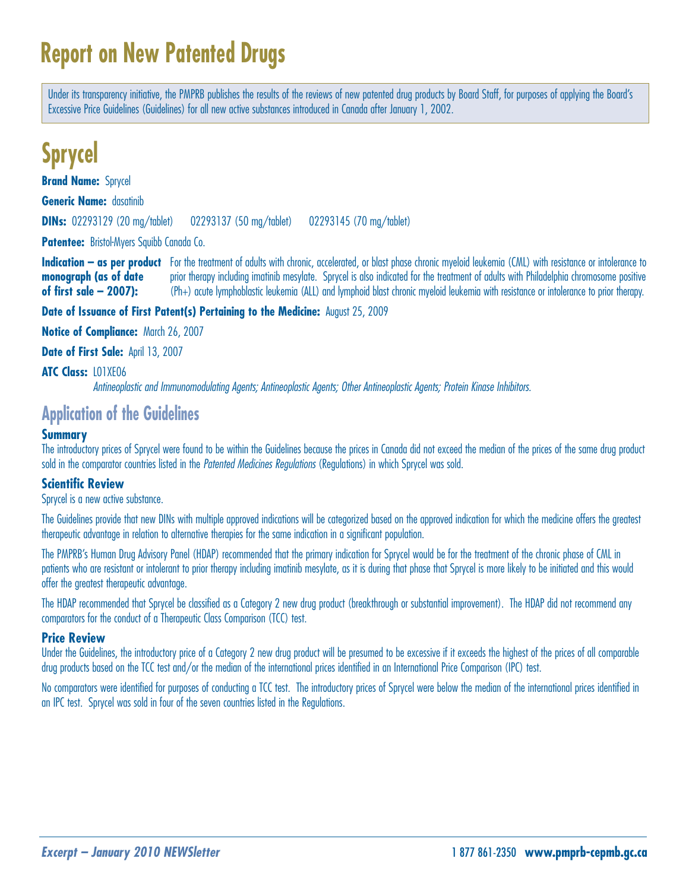# **Report on New Patented Drugs**

Under its transparency initiative, the PMPRB publishes the results of the reviews of new patented drug products by Board Staff, for purposes of applying the Board's Excessive Price Guidelines (Guidelines) for all new active substances introduced in Canada after January 1, 2002.

## **Sprycel**

**Brand Name: Sprycel** 

**Generic Name:** dasatinib

**DINs:** 02293129 (20 mg/tablet) 02293137 (50 mg/tablet) 02293145 (70 mg/tablet)

**Patentee:** Bristol-Myers Squibb Canada Co.

**Indication – as per product** For the treatment of adults with chronic, accelerated, or blast phase chronic myeloid leukemia (CML) with resistance or intolerance to **monograph (as of date** prior therapy including imatinib mesylate. Sprycel is also indicated for the treatment of adults with Philadelphia chromosome positive of first sale – 2007): (Ph+) acute lymphoblastic leukemia (ALL) and lymphoid blast chronic myeloid leukemia with resistance or intolerance to prior therapy.

### **Date of Issuance of First Patent(s) Pertaining to the Medicine:** August 25, 2009

**Notice of Compliance:** March 26, 2007

**Date of First Sale:** April 13, 2007

#### **ATC Class:** L01XE06

Antineoplastic and Immunomodulating Agents; Antineoplastic Agents; Other Antineoplastic Agents; Protein Kinase Inhibitors.

## **Application of the Guidelines**

## **Summary**

The introductory prices of Sprycel were found to be within the Guidelines because the prices in Canada did not exceed the median of the prices of the same drug product sold in the comparator countries listed in the Patented Medicines Regulations (Regulations) in which Sprycel was sold.

## **Scientific Review**

Sprycel is a new active substance.

The Guidelines provide that new DINs with multiple approved indications will be categorized based on the approved indication for which the medicine offers the greatest therapeutic advantage in relation to alternative therapies for the same indication in a significant population.

The PMPRB's Human Drug Advisory Panel (HDAP) recommended that the primary indication for Sprycel would be for the treatment of the chronic phase of CML in patients who are resistant or intolerant to prior therapy including imatinib mesylate, as it is during that phase that Sprycel is more likely to be initiated and this would offer the greatest therapeutic advantage.

The HDAP recommended that Sprycel be classified as a Category 2 new drug product (breakthrough or substantial improvement). The HDAP did not recommend any comparators for the conduct of a Therapeutic Class Comparison (TCC) test.

## **Price Review**

Under the Guidelines, the introductory price of a Category 2 new drug product will be presumed to be excessive if it exceeds the highest of the prices of all comparable drug products based on the TCC test and/or the median of the international prices identified in an International Price Comparison (IPC) test.

No comparators were identified for purposes of conducting a TCC test. The introductory prices of Sprycel were below the median of the international prices identified in an IPC test. Sprycel was sold in four of the seven countries listed in the Regulations.